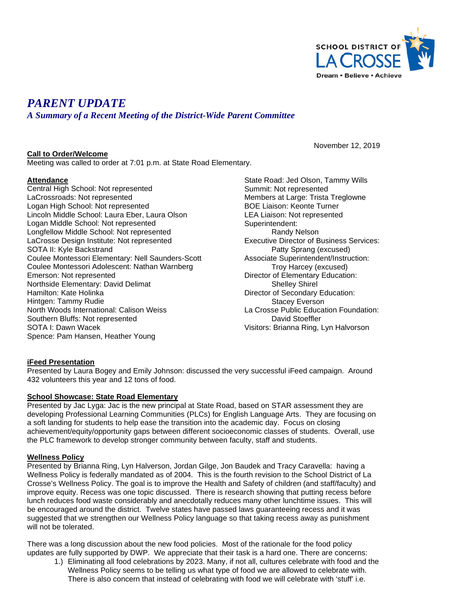

November 12, 2019

# *PARENT UPDATE*

*A Summary of a Recent Meeting of the District-Wide Parent Committee*

### **Call to Order/Welcome**

Meeting was called to order at 7:01 p.m. at State Road Elementary.

## **Attendance**

Central High School: Not represented LaCrossroads: Not represented Logan High School: Not represented Lincoln Middle School: Laura Eber, Laura Olson Logan Middle School: Not represented Longfellow Middle School: Not represented LaCrosse Design Institute: Not represented SOTA II: Kyle Backstrand Coulee Montessori Elementary: Nell Saunders-Scott Coulee Montessori Adolescent: Nathan Warnberg Emerson: Not represented Northside Elementary: David Delimat Hamilton: Kate Holinka Hintgen: Tammy Rudie North Woods International: Calison Weiss Southern Bluffs: Not represented SOTA I: Dawn Wacek Spence: Pam Hansen, Heather Young

State Road: Jed Olson, Tammy Wills Summit: Not represented Members at Large: Trista Treglowne BOE Liaison: Keonte Turner LEA Liaison: Not represented Superintendent: Randy Nelson Executive Director of Business Services: Patty Sprang (excused) Associate Superintendent/Instruction: Troy Harcey (excused) Director of Elementary Education: Shelley Shirel Director of Secondary Education: Stacey Everson La Crosse Public Education Foundation: David Stoeffler Visitors: Brianna Ring, Lyn Halvorson

## **iFeed Presentation**

Presented by Laura Bogey and Emily Johnson: discussed the very successful iFeed campaign. Around 432 volunteers this year and 12 tons of food.

#### **School Showcase: State Road Elementary**

Presented by Jac Lyga: Jac is the new principal at State Road, based on STAR assessment they are developing Professional Learning Communities (PLCs) for English Language Arts. They are focusing on a soft landing for students to help ease the transition into the academic day. Focus on closing achievement/equity/opportunity gaps between different socioeconomic classes of students. Overall, use the PLC framework to develop stronger community between faculty, staff and students.

#### **Wellness Policy**

Presented by Brianna Ring, Lyn Halverson, Jordan Gilge, Jon Baudek and Tracy Caravella: having a Wellness Policy is federally mandated as of 2004. This is the fourth revision to the School District of La Crosse's Wellness Policy. The goal is to improve the Health and Safety of children (and staff/faculty) and improve equity. Recess was one topic discussed. There is research showing that putting recess before lunch reduces food waste considerably and anecdotally reduces many other lunchtime issues. This will be encouraged around the district. Twelve states have passed laws guaranteeing recess and it was suggested that we strengthen our Wellness Policy language so that taking recess away as punishment will not be tolerated.

There was a long discussion about the new food policies. Most of the rationale for the food policy updates are fully supported by DWP. We appreciate that their task is a hard one. There are concerns:

1.) Eliminating all food celebrations by 2023. Many, if not all, cultures celebrate with food and the Wellness Policy seems to be telling us what type of food we are allowed to celebrate with. There is also concern that instead of celebrating with food we will celebrate with 'stuff' i.e.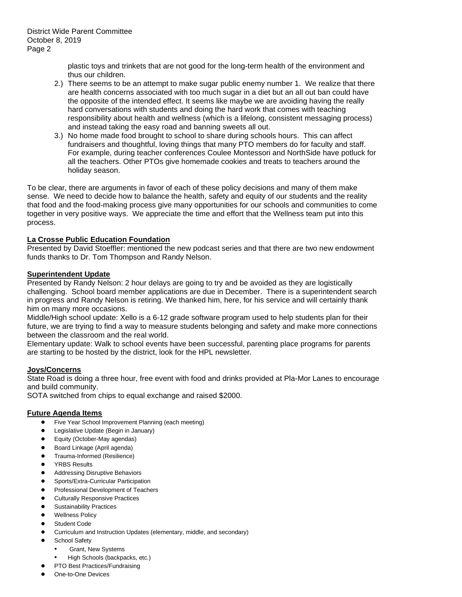plastic toys and trinkets that are not good for the long-term health of the environment and thus our children.

- 2.) There seems to be an attempt to make sugar public enemy number 1. We realize that there are health concerns associated with too much sugar in a diet but an all out ban could have the opposite of the intended effect. It seems like maybe we are avoiding having the really hard conversations with students and doing the hard work that comes with teaching responsibility about health and wellness (which is a lifelong, consistent messaging process) and instead taking the easy road and banning sweets all out.
- 3.) No home made food brought to school to share during schools hours. This can affect fundraisers and thoughtful, loving things that many PTO members do for faculty and staff. For example, during teacher conferences Coulee Montessori and NorthSide have potluck for all the teachers. Other PTOs give homemade cookies and treats to teachers around the holiday season.

To be clear, there are arguments in favor of each of these policy decisions and many of them make sense. We need to decide how to balance the health, safety and equity of our students and the reality that food and the food-making process give many opportunities for our schools and communities to come together in very positive ways. We appreciate the time and effort that the Wellness team put into this process.

## **La Crosse Public Education Foundation**

Presented by David Stoeffler: mentioned the new podcast series and that there are two new endowment funds thanks to Dr. Tom Thompson and Randy Nelson.

### **Superintendent Update**

Presented by Randy Nelson: 2 hour delays are going to try and be avoided as they are logistically challenging. School board member applications are due in December. There is a superintendent search in progress and Randy Nelson is retiring. We thanked him, here, for his service and will certainly thank him on many more occasions.

Middle/High school update: Xello is a 6-12 grade software program used to help students plan for their future, we are trying to find a way to measure students belonging and safety and make more connections between the classroom and the real world.

Elementary update: Walk to school events have been successful, parenting place programs for parents are starting to be hosted by the district, look for the HPL newsletter.

## **Joys/Concerns**

State Road is doing a three hour, free event with food and drinks provided at Pla-Mor Lanes to encourage and build community.

SOTA switched from chips to equal exchange and raised \$2000.

#### **Future Agenda Items**

- Five Year School Improvement Planning (each meeting)
- Legislative Update (Begin in January)
- Equity (October-May agendas)
- Board Linkage (April agenda)
- Trauma-Informed (Resilience)
- YRBS Results
- **Addressing Disruptive Behaviors**
- Sports/Extra-Curricular Participation
- Professional Development of Teachers
- **Culturally Responsive Practices**
- **Sustainability Practices**
- **Wellness Policy**
- Student Code
- Curriculum and Instruction Updates (elementary, middle, and secondary)
- **School Safety** 
	- **Grant, New Systems**
	- High Schools (backpacks, etc.)
- PTO Best Practices/Fundraising
- One-to-One Devices